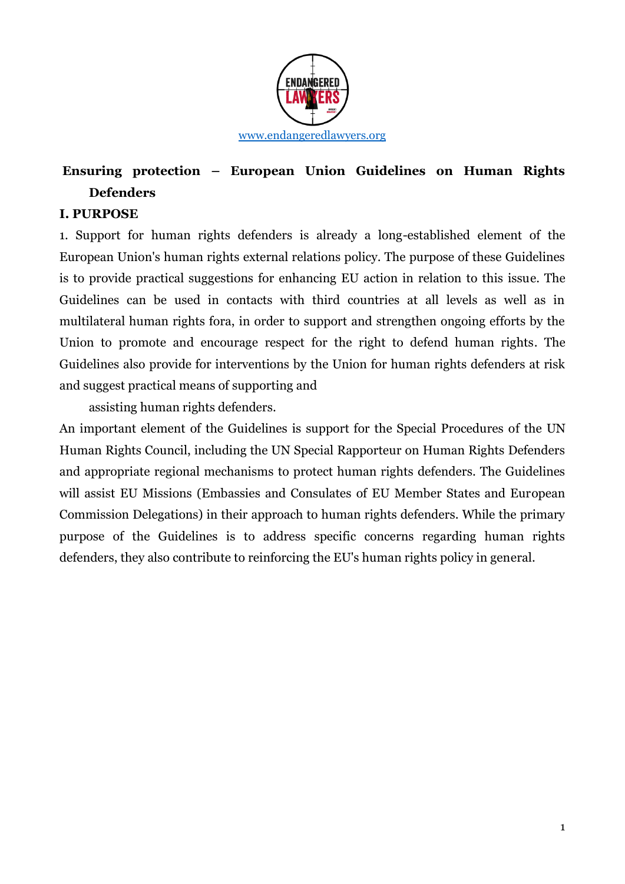

# **Ensuring protection – European Union Guidelines on Human Rights Defenders**

### **I. PURPOSE**

1. Support for human rights defenders is already a long-established element of the European Union's human rights external relations policy. The purpose of these Guidelines is to provide practical suggestions for enhancing EU action in relation to this issue. The Guidelines can be used in contacts with third countries at all levels as well as in multilateral human rights fora, in order to support and strengthen ongoing efforts by the Union to promote and encourage respect for the right to defend human rights. The Guidelines also provide for interventions by the Union for human rights defenders at risk and suggest practical means of supporting and

assisting human rights defenders.

An important element of the Guidelines is support for the Special Procedures of the UN Human Rights Council, including the UN Special Rapporteur on Human Rights Defenders and appropriate regional mechanisms to protect human rights defenders. The Guidelines will assist EU Missions (Embassies and Consulates of EU Member States and European Commission Delegations) in their approach to human rights defenders. While the primary purpose of the Guidelines is to address specific concerns regarding human rights defenders, they also contribute to reinforcing the EU's human rights policy in general.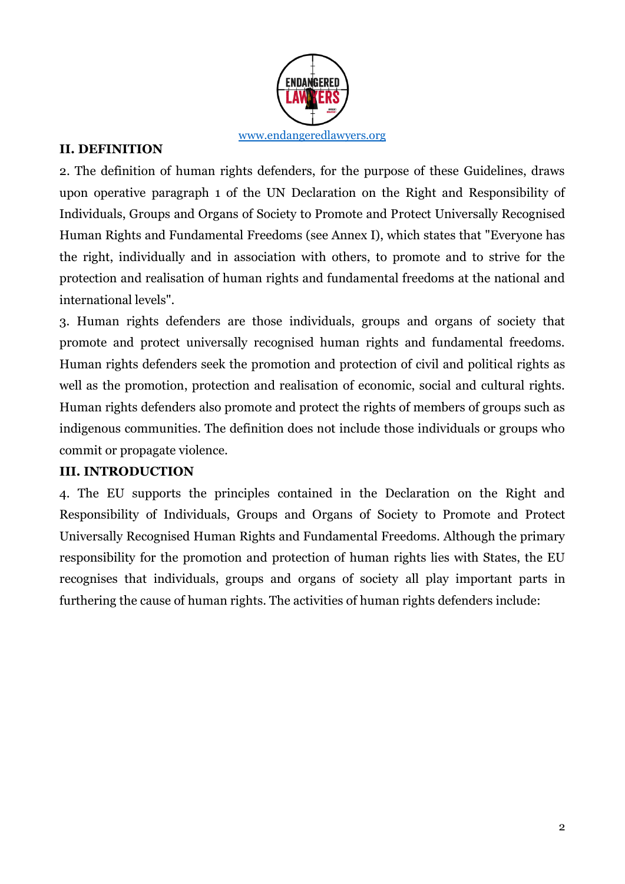

### **II. DEFINITION**

2. The definition of human rights defenders, for the purpose of these Guidelines, draws upon operative paragraph 1 of the UN Declaration on the Right and Responsibility of Individuals, Groups and Organs of Society to Promote and Protect Universally Recognised Human Rights and Fundamental Freedoms (see Annex I), which states that "Everyone has the right, individually and in association with others, to promote and to strive for the protection and realisation of human rights and fundamental freedoms at the national and international levels".

3. Human rights defenders are those individuals, groups and organs of society that promote and protect universally recognised human rights and fundamental freedoms. Human rights defenders seek the promotion and protection of civil and political rights as well as the promotion, protection and realisation of economic, social and cultural rights. Human rights defenders also promote and protect the rights of members of groups such as indigenous communities. The definition does not include those individuals or groups who commit or propagate violence.

### **III. INTRODUCTION**

4. The EU supports the principles contained in the Declaration on the Right and Responsibility of Individuals, Groups and Organs of Society to Promote and Protect Universally Recognised Human Rights and Fundamental Freedoms. Although the primary responsibility for the promotion and protection of human rights lies with States, the EU recognises that individuals, groups and organs of society all play important parts in furthering the cause of human rights. The activities of human rights defenders include: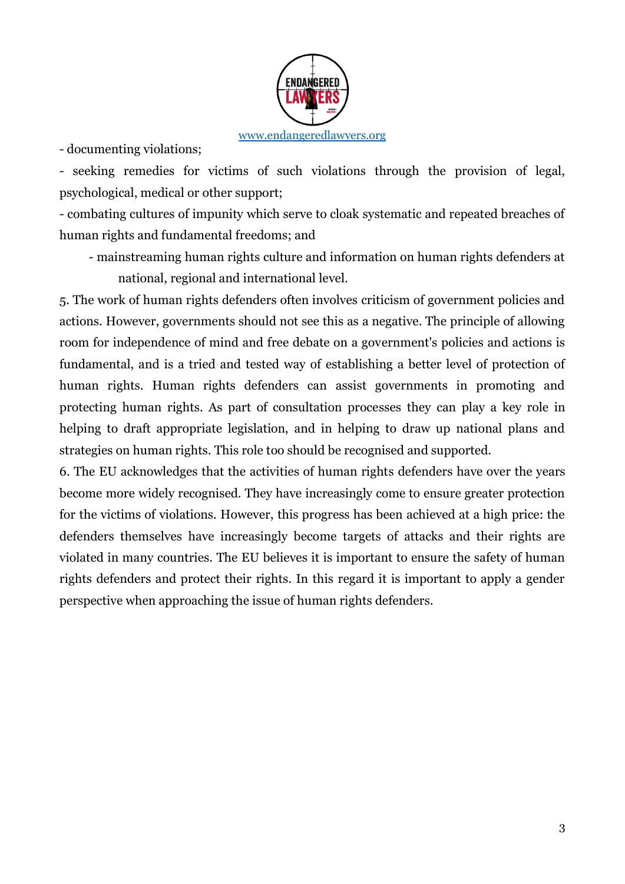

- documenting violations;

- seeking remedies for victims of such violations through the provision of legal, psychological, medical or other support;

- combating cultures of impunity which serve to cloak systematic and repeated breaches of human rights and fundamental freedoms; and

- mainstreaming human rights culture and information on human rights defenders at national, regional and international level.

5. The work of human rights defenders often involves criticism of government policies and actions. However, governments should not see this as a negative. The principle of allowing room for independence of mind and free debate on a government's policies and actions is fundamental, and is a tried and tested way of establishing a better level of protection of human rights. Human rights defenders can assist governments in promoting and protecting human rights. As part of consultation processes they can play a key role in helping to draft appropriate legislation, and in helping to draw up national plans and strategies on human rights. This role too should be recognised and supported.

6. The EU acknowledges that the activities of human rights defenders have over the years become more widely recognised. They have increasingly come to ensure greater protection for the victims of violations. However, this progress has been achieved at a high price: the defenders themselves have increasingly become targets of attacks and their rights are violated in many countries. The EU believes it is important to ensure the safety of human rights defenders and protect their rights. In this regard it is important to apply a gender perspective when approaching the issue of human rights defenders.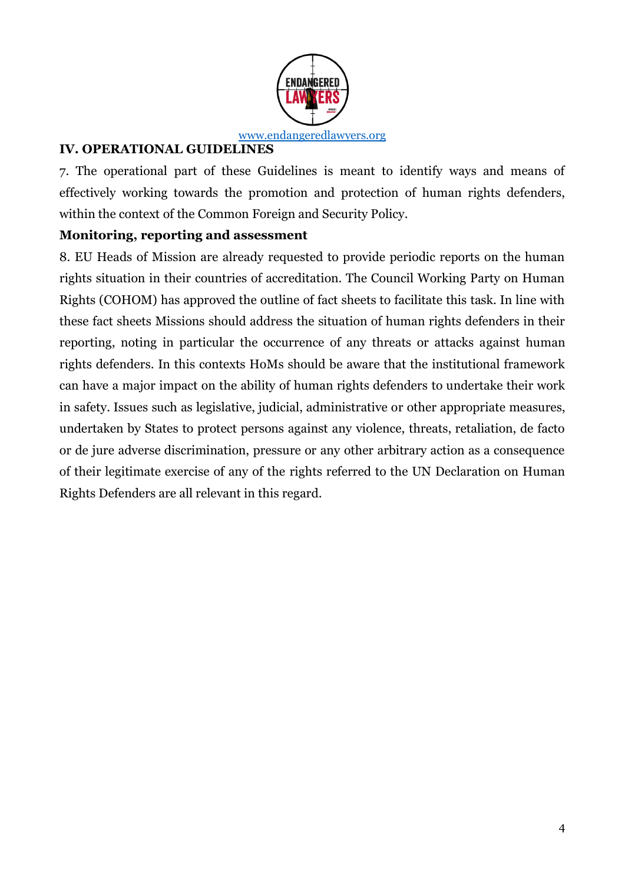

### **IV. OPERATIONAL GUIDELINES**

7. The operational part of these Guidelines is meant to identify ways and means of effectively working towards the promotion and protection of human rights defenders, within the context of the Common Foreign and Security Policy.

### **Monitoring, reporting and assessment**

8. EU Heads of Mission are already requested to provide periodic reports on the human rights situation in their countries of accreditation. The Council Working Party on Human Rights (COHOM) has approved the outline of fact sheets to facilitate this task. In line with these fact sheets Missions should address the situation of human rights defenders in their reporting, noting in particular the occurrence of any threats or attacks against human rights defenders. In this contexts HoMs should be aware that the institutional framework can have a major impact on the ability of human rights defenders to undertake their work in safety. Issues such as legislative, judicial, administrative or other appropriate measures, undertaken by States to protect persons against any violence, threats, retaliation, de facto or de jure adverse discrimination, pressure or any other arbitrary action as a consequence of their legitimate exercise of any of the rights referred to the UN Declaration on Human Rights Defenders are all relevant in this regard.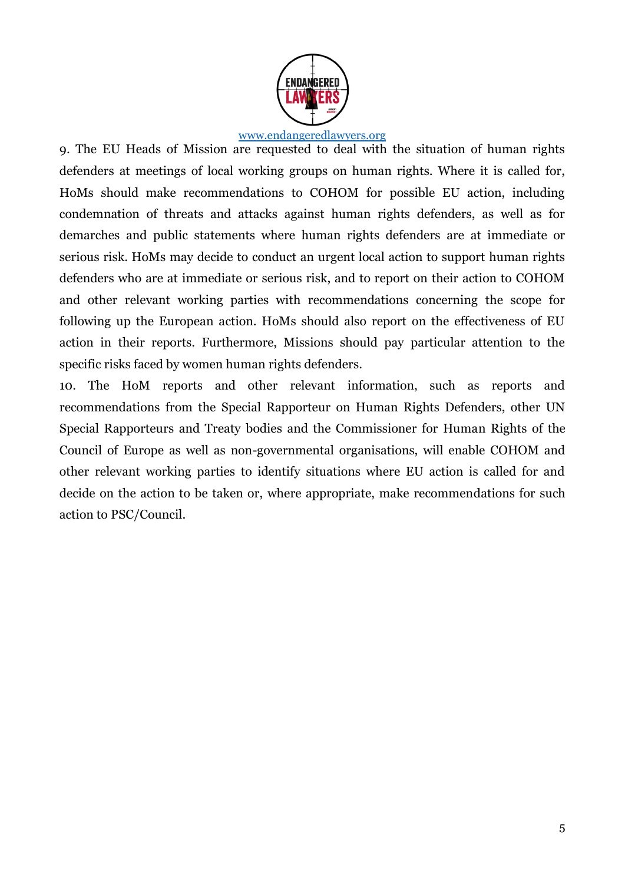

9. The EU Heads of Mission are requested to deal with the situation of human rights defenders at meetings of local working groups on human rights. Where it is called for, HoMs should make recommendations to COHOM for possible EU action, including condemnation of threats and attacks against human rights defenders, as well as for demarches and public statements where human rights defenders are at immediate or serious risk. HoMs may decide to conduct an urgent local action to support human rights defenders who are at immediate or serious risk, and to report on their action to COHOM and other relevant working parties with recommendations concerning the scope for following up the European action. HoMs should also report on the effectiveness of EU action in their reports. Furthermore, Missions should pay particular attention to the specific risks faced by women human rights defenders.

10. The HoM reports and other relevant information, such as reports and recommendations from the Special Rapporteur on Human Rights Defenders, other UN Special Rapporteurs and Treaty bodies and the Commissioner for Human Rights of the Council of Europe as well as non-governmental organisations, will enable COHOM and other relevant working parties to identify situations where EU action is called for and decide on the action to be taken or, where appropriate, make recommendations for such action to PSC/Council.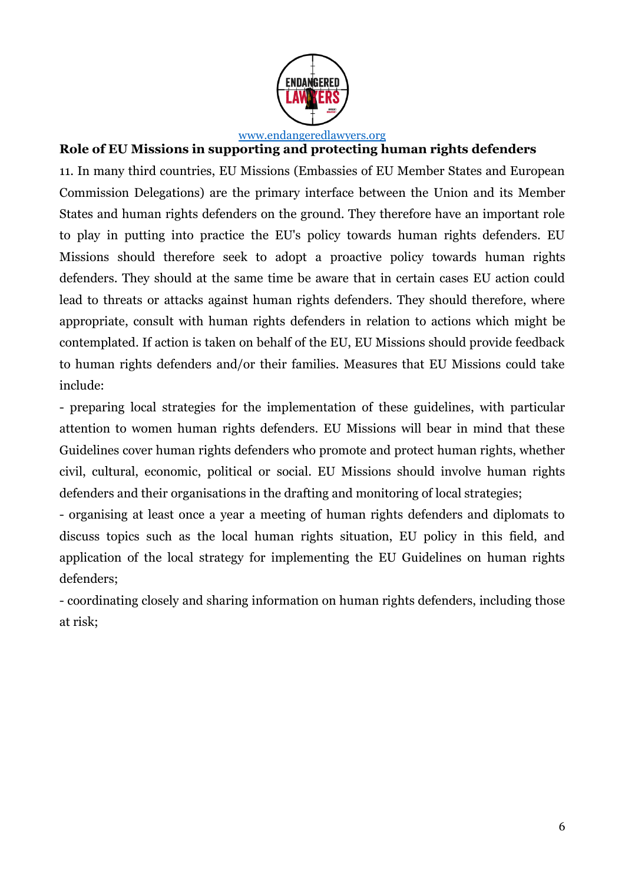

## **Role of EU Missions in supporting and protecting human rights defenders**

11. In many third countries, EU Missions (Embassies of EU Member States and European Commission Delegations) are the primary interface between the Union and its Member States and human rights defenders on the ground. They therefore have an important role to play in putting into practice the EU's policy towards human rights defenders. EU Missions should therefore seek to adopt a proactive policy towards human rights defenders. They should at the same time be aware that in certain cases EU action could lead to threats or attacks against human rights defenders. They should therefore, where appropriate, consult with human rights defenders in relation to actions which might be contemplated. If action is taken on behalf of the EU, EU Missions should provide feedback to human rights defenders and/or their families. Measures that EU Missions could take include:

- preparing local strategies for the implementation of these guidelines, with particular attention to women human rights defenders. EU Missions will bear in mind that these Guidelines cover human rights defenders who promote and protect human rights, whether civil, cultural, economic, political or social. EU Missions should involve human rights defenders and their organisations in the drafting and monitoring of local strategies;

- organising at least once a year a meeting of human rights defenders and diplomats to discuss topics such as the local human rights situation, EU policy in this field, and application of the local strategy for implementing the EU Guidelines on human rights defenders;

- coordinating closely and sharing information on human rights defenders, including those at risk;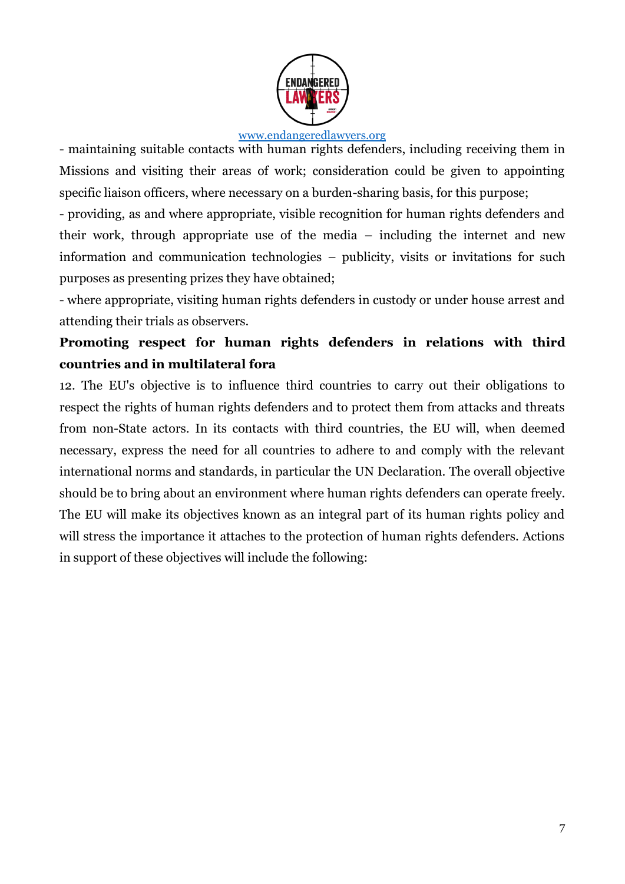

- maintaining suitable contacts with human rights defenders, including receiving them in Missions and visiting their areas of work; consideration could be given to appointing specific liaison officers, where necessary on a burden-sharing basis, for this purpose;

- providing, as and where appropriate, visible recognition for human rights defenders and their work, through appropriate use of the media – including the internet and new information and communication technologies – publicity, visits or invitations for such purposes as presenting prizes they have obtained;

- where appropriate, visiting human rights defenders in custody or under house arrest and attending their trials as observers.

# **Promoting respect for human rights defenders in relations with third countries and in multilateral fora**

12. The EU's objective is to influence third countries to carry out their obligations to respect the rights of human rights defenders and to protect them from attacks and threats from non-State actors. In its contacts with third countries, the EU will, when deemed necessary, express the need for all countries to adhere to and comply with the relevant international norms and standards, in particular the UN Declaration. The overall objective should be to bring about an environment where human rights defenders can operate freely. The EU will make its objectives known as an integral part of its human rights policy and will stress the importance it attaches to the protection of human rights defenders. Actions in support of these objectives will include the following: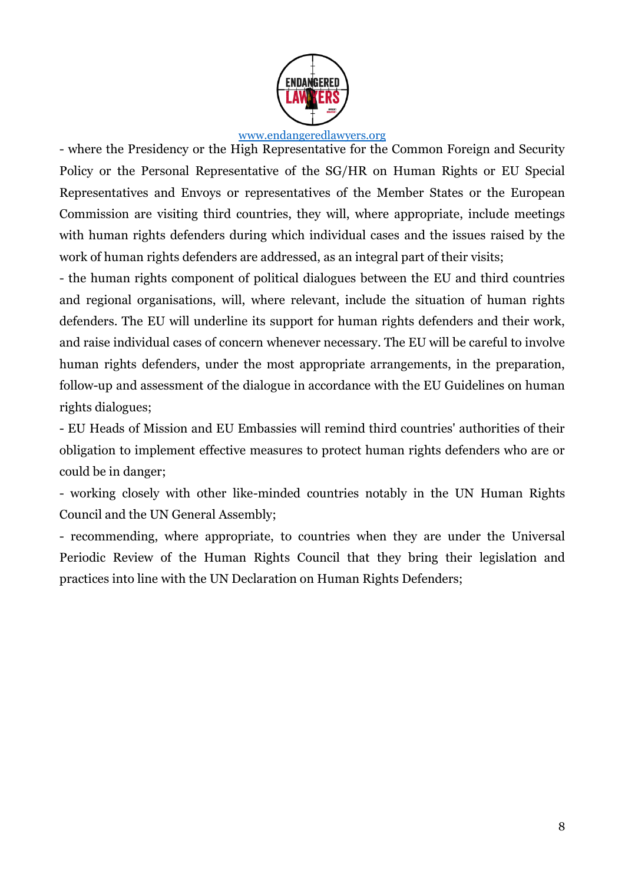

- where the Presidency or the High Representative for the Common Foreign and Security Policy or the Personal Representative of the SG/HR on Human Rights or EU Special Representatives and Envoys or representatives of the Member States or the European Commission are visiting third countries, they will, where appropriate, include meetings with human rights defenders during which individual cases and the issues raised by the work of human rights defenders are addressed, as an integral part of their visits;

- the human rights component of political dialogues between the EU and third countries and regional organisations, will, where relevant, include the situation of human rights defenders. The EU will underline its support for human rights defenders and their work, and raise individual cases of concern whenever necessary. The EU will be careful to involve human rights defenders, under the most appropriate arrangements, in the preparation, follow-up and assessment of the dialogue in accordance with the EU Guidelines on human rights dialogues;

- EU Heads of Mission and EU Embassies will remind third countries' authorities of their obligation to implement effective measures to protect human rights defenders who are or could be in danger;

- working closely with other like-minded countries notably in the UN Human Rights Council and the UN General Assembly;

- recommending, where appropriate, to countries when they are under the Universal Periodic Review of the Human Rights Council that they bring their legislation and practices into line with the UN Declaration on Human Rights Defenders;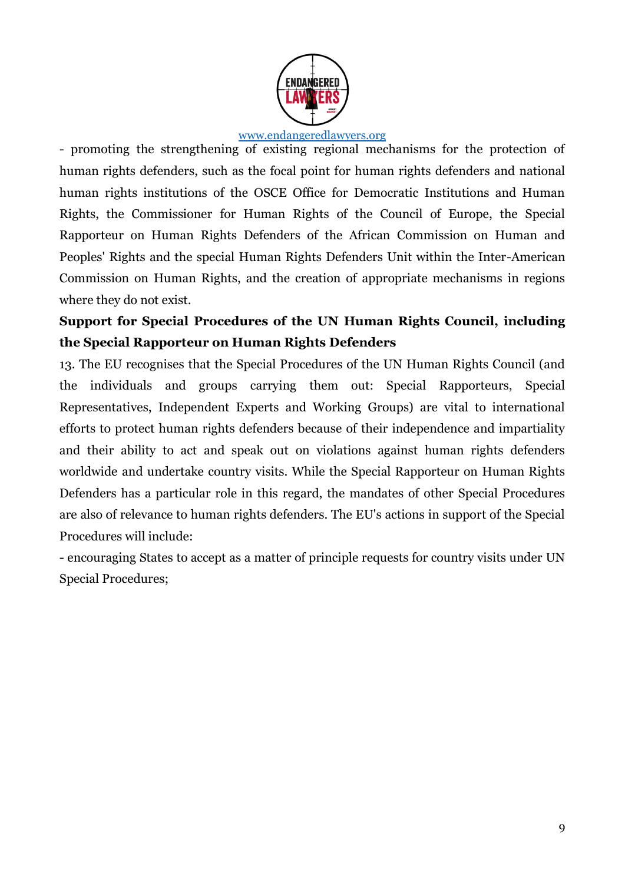

- promoting the strengthening of existing regional mechanisms for the protection of human rights defenders, such as the focal point for human rights defenders and national human rights institutions of the OSCE Office for Democratic Institutions and Human Rights, the Commissioner for Human Rights of the Council of Europe, the Special Rapporteur on Human Rights Defenders of the African Commission on Human and Peoples' Rights and the special Human Rights Defenders Unit within the Inter-American Commission on Human Rights, and the creation of appropriate mechanisms in regions where they do not exist.

# **Support for Special Procedures of the UN Human Rights Council, including the Special Rapporteur on Human Rights Defenders**

13. The EU recognises that the Special Procedures of the UN Human Rights Council (and the individuals and groups carrying them out: Special Rapporteurs, Special Representatives, Independent Experts and Working Groups) are vital to international efforts to protect human rights defenders because of their independence and impartiality and their ability to act and speak out on violations against human rights defenders worldwide and undertake country visits. While the Special Rapporteur on Human Rights Defenders has a particular role in this regard, the mandates of other Special Procedures are also of relevance to human rights defenders. The EU's actions in support of the Special Procedures will include:

- encouraging States to accept as a matter of principle requests for country visits under UN Special Procedures;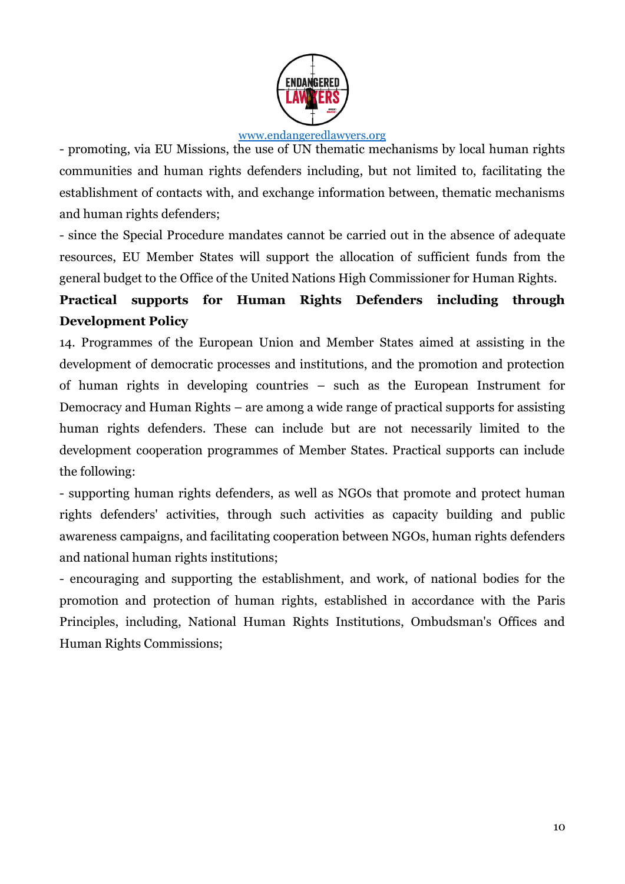

- promoting, via EU Missions, the use of UN thematic mechanisms by local human rights communities and human rights defenders including, but not limited to, facilitating the establishment of contacts with, and exchange information between, thematic mechanisms and human rights defenders;

- since the Special Procedure mandates cannot be carried out in the absence of adequate resources, EU Member States will support the allocation of sufficient funds from the general budget to the Office of the United Nations High Commissioner for Human Rights.

# **Practical supports for Human Rights Defenders including through Development Policy**

14. Programmes of the European Union and Member States aimed at assisting in the development of democratic processes and institutions, and the promotion and protection of human rights in developing countries – such as the European Instrument for Democracy and Human Rights – are among a wide range of practical supports for assisting human rights defenders. These can include but are not necessarily limited to the development cooperation programmes of Member States. Practical supports can include the following:

- supporting human rights defenders, as well as NGOs that promote and protect human rights defenders' activities, through such activities as capacity building and public awareness campaigns, and facilitating cooperation between NGOs, human rights defenders and national human rights institutions;

- encouraging and supporting the establishment, and work, of national bodies for the promotion and protection of human rights, established in accordance with the Paris Principles, including, National Human Rights Institutions, Ombudsman's Offices and Human Rights Commissions;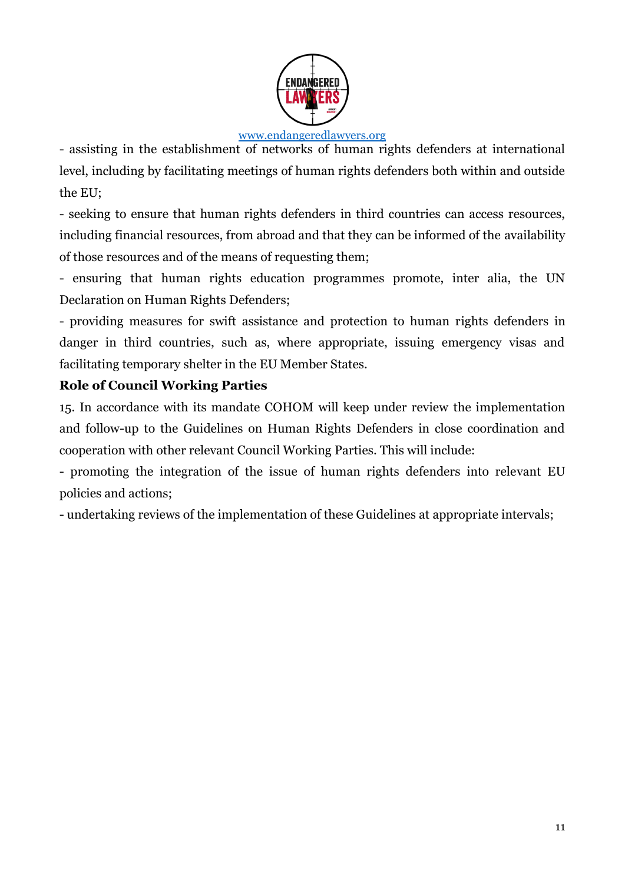

- assisting in the establishment of networks of human rights defenders at international level, including by facilitating meetings of human rights defenders both within and outside the EU;

- seeking to ensure that human rights defenders in third countries can access resources, including financial resources, from abroad and that they can be informed of the availability of those resources and of the means of requesting them;

- ensuring that human rights education programmes promote, inter alia, the UN Declaration on Human Rights Defenders;

- providing measures for swift assistance and protection to human rights defenders in danger in third countries, such as, where appropriate, issuing emergency visas and facilitating temporary shelter in the EU Member States.

### **Role of Council Working Parties**

15. In accordance with its mandate COHOM will keep under review the implementation and follow-up to the Guidelines on Human Rights Defenders in close coordination and cooperation with other relevant Council Working Parties. This will include:

- promoting the integration of the issue of human rights defenders into relevant EU policies and actions;

- undertaking reviews of the implementation of these Guidelines at appropriate intervals;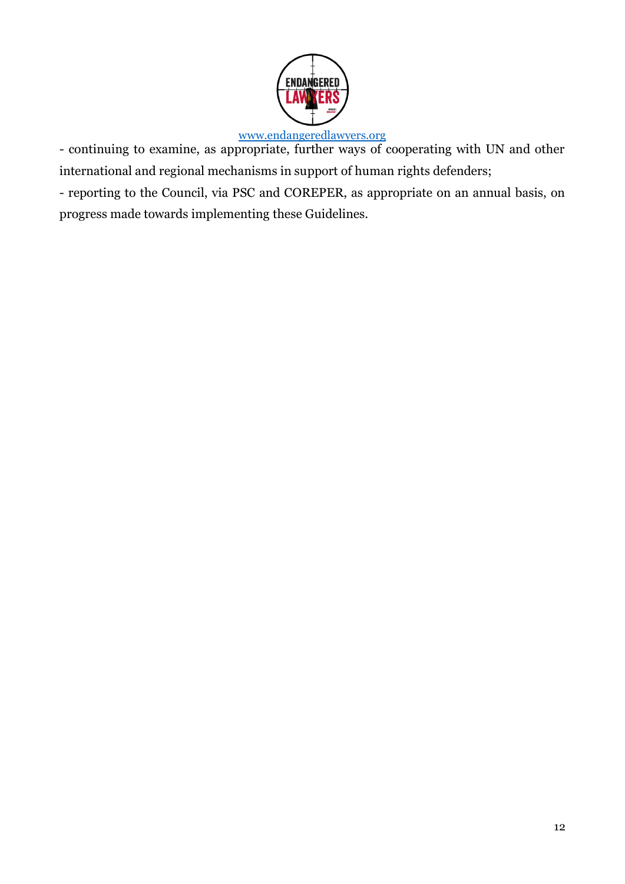

- continuing to examine, as appropriate, further ways of cooperating with UN and other international and regional mechanisms in support of human rights defenders;

- reporting to the Council, via PSC and COREPER, as appropriate on an annual basis, on progress made towards implementing these Guidelines.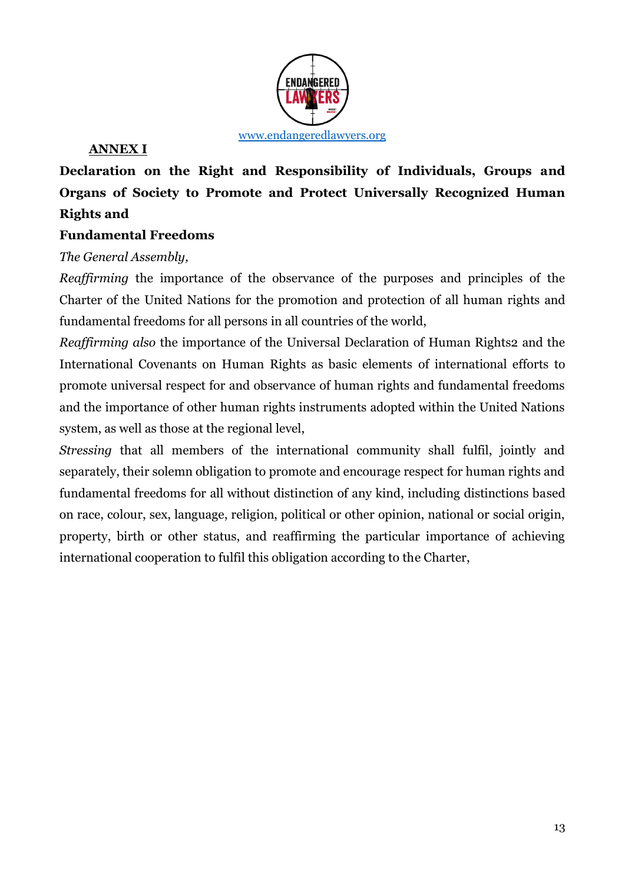

### **ANNEX I**

**Declaration on the Right and Responsibility of Individuals, Groups and Organs of Society to Promote and Protect Universally Recognized Human Rights and** 

## **Fundamental Freedoms**

### *The General Assembly,*

*Reaffirming* the importance of the observance of the purposes and principles of the Charter of the United Nations for the promotion and protection of all human rights and fundamental freedoms for all persons in all countries of the world,

*Reaffirming also* the importance of the Universal Declaration of Human Rights2 and the International Covenants on Human Rights as basic elements of international efforts to promote universal respect for and observance of human rights and fundamental freedoms and the importance of other human rights instruments adopted within the United Nations system, as well as those at the regional level,

*Stressing* that all members of the international community shall fulfil, jointly and separately, their solemn obligation to promote and encourage respect for human rights and fundamental freedoms for all without distinction of any kind, including distinctions based on race, colour, sex, language, religion, political or other opinion, national or social origin, property, birth or other status, and reaffirming the particular importance of achieving international cooperation to fulfil this obligation according to the Charter,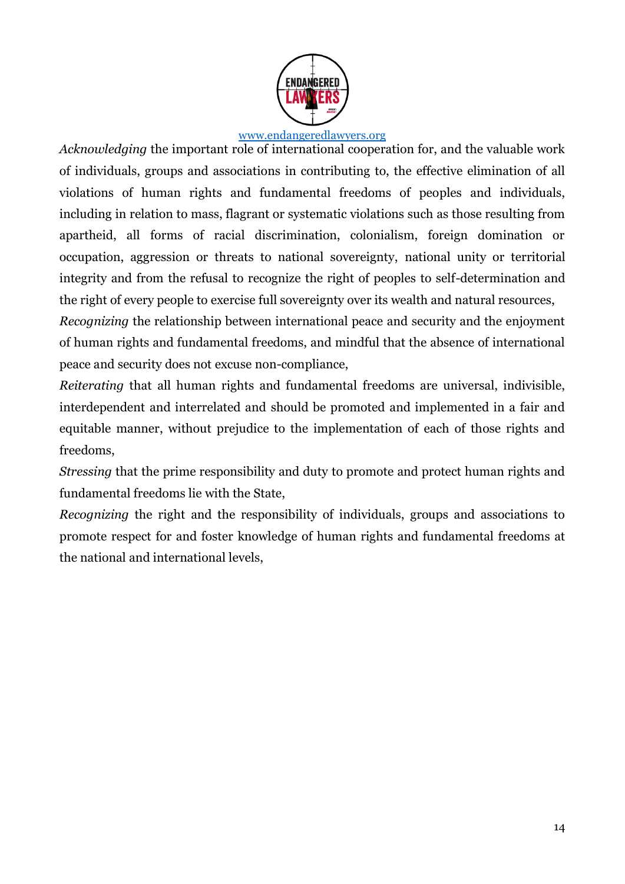

*Acknowledging* the important role of international cooperation for, and the valuable work of individuals, groups and associations in contributing to, the effective elimination of all violations of human rights and fundamental freedoms of peoples and individuals, including in relation to mass, flagrant or systematic violations such as those resulting from apartheid, all forms of racial discrimination, colonialism, foreign domination or occupation, aggression or threats to national sovereignty, national unity or territorial integrity and from the refusal to recognize the right of peoples to self-determination and the right of every people to exercise full sovereignty over its wealth and natural resources,

*Recognizing* the relationship between international peace and security and the enjoyment of human rights and fundamental freedoms, and mindful that the absence of international peace and security does not excuse non-compliance,

*Reiterating* that all human rights and fundamental freedoms are universal, indivisible, interdependent and interrelated and should be promoted and implemented in a fair and equitable manner, without prejudice to the implementation of each of those rights and freedoms,

*Stressing* that the prime responsibility and duty to promote and protect human rights and fundamental freedoms lie with the State,

*Recognizing* the right and the responsibility of individuals, groups and associations to promote respect for and foster knowledge of human rights and fundamental freedoms at the national and international levels,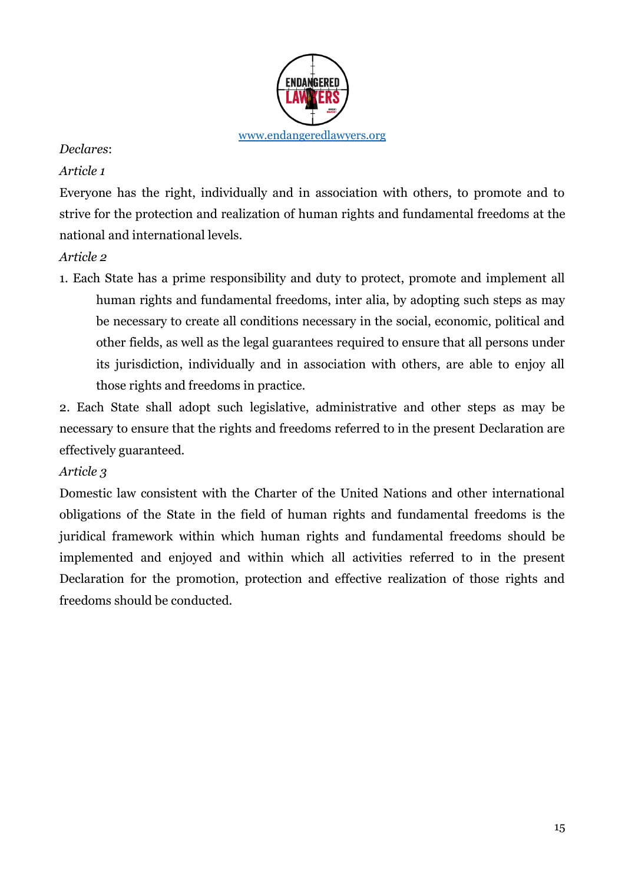

### *Declares*:

### *Article 1*

Everyone has the right, individually and in association with others, to promote and to strive for the protection and realization of human rights and fundamental freedoms at the national and international levels.

### *Article 2*

1. Each State has a prime responsibility and duty to protect, promote and implement all human rights and fundamental freedoms, inter alia, by adopting such steps as may be necessary to create all conditions necessary in the social, economic, political and other fields, as well as the legal guarantees required to ensure that all persons under its jurisdiction, individually and in association with others, are able to enjoy all those rights and freedoms in practice.

2. Each State shall adopt such legislative, administrative and other steps as may be necessary to ensure that the rights and freedoms referred to in the present Declaration are effectively guaranteed.

### *Article 3*

Domestic law consistent with the Charter of the United Nations and other international obligations of the State in the field of human rights and fundamental freedoms is the juridical framework within which human rights and fundamental freedoms should be implemented and enjoyed and within which all activities referred to in the present Declaration for the promotion, protection and effective realization of those rights and freedoms should be conducted.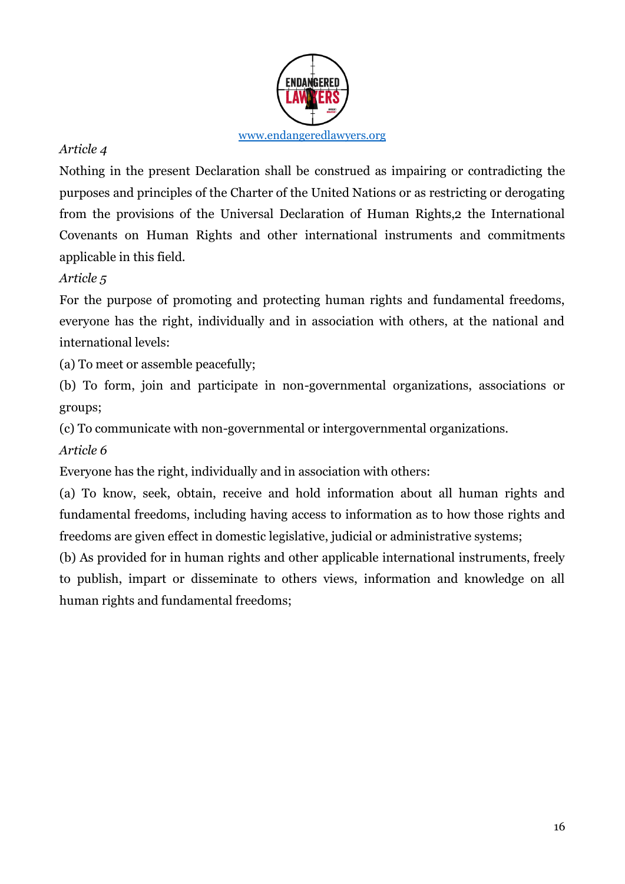

Nothing in the present Declaration shall be construed as impairing or contradicting the purposes and principles of the Charter of the United Nations or as restricting or derogating from the provisions of the Universal Declaration of Human Rights,2 the International Covenants on Human Rights and other international instruments and commitments applicable in this field.

## *Article 5*

For the purpose of promoting and protecting human rights and fundamental freedoms, everyone has the right, individually and in association with others, at the national and international levels:

(a) To meet or assemble peacefully;

(b) To form, join and participate in non-governmental organizations, associations or groups;

(c) To communicate with non-governmental or intergovernmental organizations.

*Article 6* 

Everyone has the right, individually and in association with others:

(a) To know, seek, obtain, receive and hold information about all human rights and fundamental freedoms, including having access to information as to how those rights and freedoms are given effect in domestic legislative, judicial or administrative systems;

(b) As provided for in human rights and other applicable international instruments, freely to publish, impart or disseminate to others views, information and knowledge on all human rights and fundamental freedoms;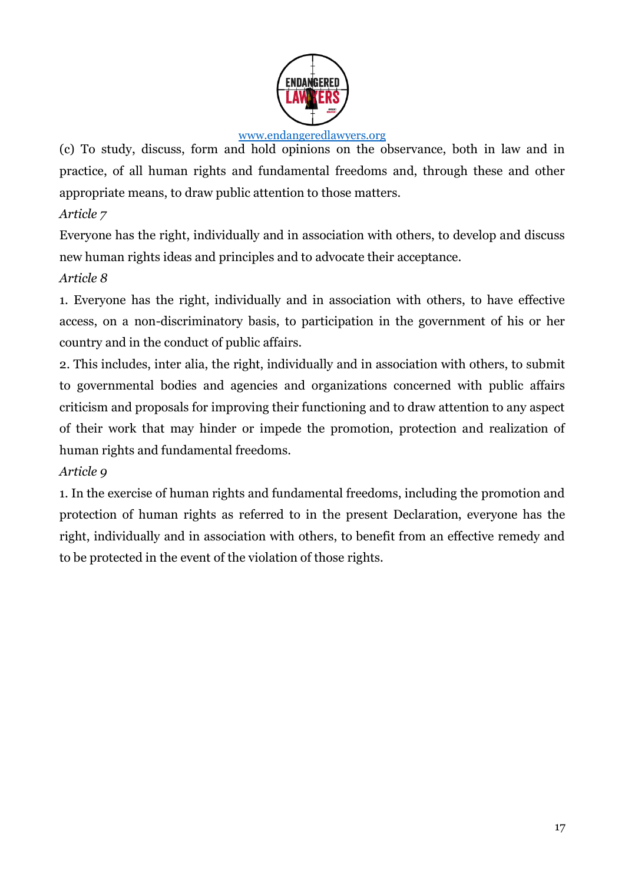

(c) To study, discuss, form and hold opinions on the observance, both in law and in practice, of all human rights and fundamental freedoms and, through these and other appropriate means, to draw public attention to those matters.

*Article 7* 

Everyone has the right, individually and in association with others, to develop and discuss new human rights ideas and principles and to advocate their acceptance.

# *Article 8*

1. Everyone has the right, individually and in association with others, to have effective access, on a non-discriminatory basis, to participation in the government of his or her country and in the conduct of public affairs.

2. This includes, inter alia, the right, individually and in association with others, to submit to governmental bodies and agencies and organizations concerned with public affairs criticism and proposals for improving their functioning and to draw attention to any aspect of their work that may hinder or impede the promotion, protection and realization of human rights and fundamental freedoms.

# *Article 9*

1. In the exercise of human rights and fundamental freedoms, including the promotion and protection of human rights as referred to in the present Declaration, everyone has the right, individually and in association with others, to benefit from an effective remedy and to be protected in the event of the violation of those rights.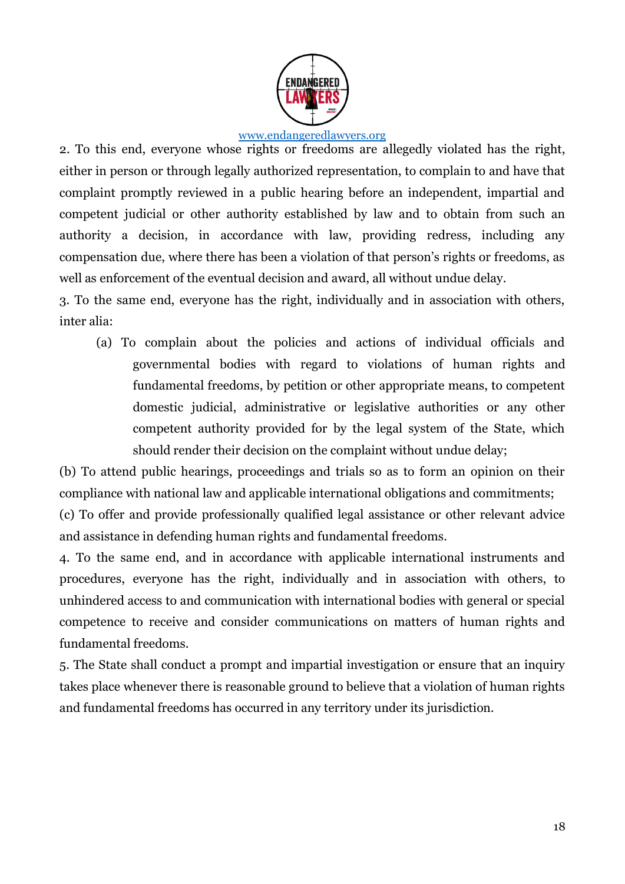

2. To this end, everyone whose rights or freedoms are allegedly violated has the right, either in person or through legally authorized representation, to complain to and have that complaint promptly reviewed in a public hearing before an independent, impartial and competent judicial or other authority established by law and to obtain from such an authority a decision, in accordance with law, providing redress, including any compensation due, where there has been a violation of that person's rights or freedoms, as well as enforcement of the eventual decision and award, all without undue delay.

3. To the same end, everyone has the right, individually and in association with others, inter alia:

(a) To complain about the policies and actions of individual officials and governmental bodies with regard to violations of human rights and fundamental freedoms, by petition or other appropriate means, to competent domestic judicial, administrative or legislative authorities or any other competent authority provided for by the legal system of the State, which should render their decision on the complaint without undue delay;

(b) To attend public hearings, proceedings and trials so as to form an opinion on their compliance with national law and applicable international obligations and commitments;

(c) To offer and provide professionally qualified legal assistance or other relevant advice and assistance in defending human rights and fundamental freedoms.

4. To the same end, and in accordance with applicable international instruments and procedures, everyone has the right, individually and in association with others, to unhindered access to and communication with international bodies with general or special competence to receive and consider communications on matters of human rights and fundamental freedoms.

5. The State shall conduct a prompt and impartial investigation or ensure that an inquiry takes place whenever there is reasonable ground to believe that a violation of human rights and fundamental freedoms has occurred in any territory under its jurisdiction.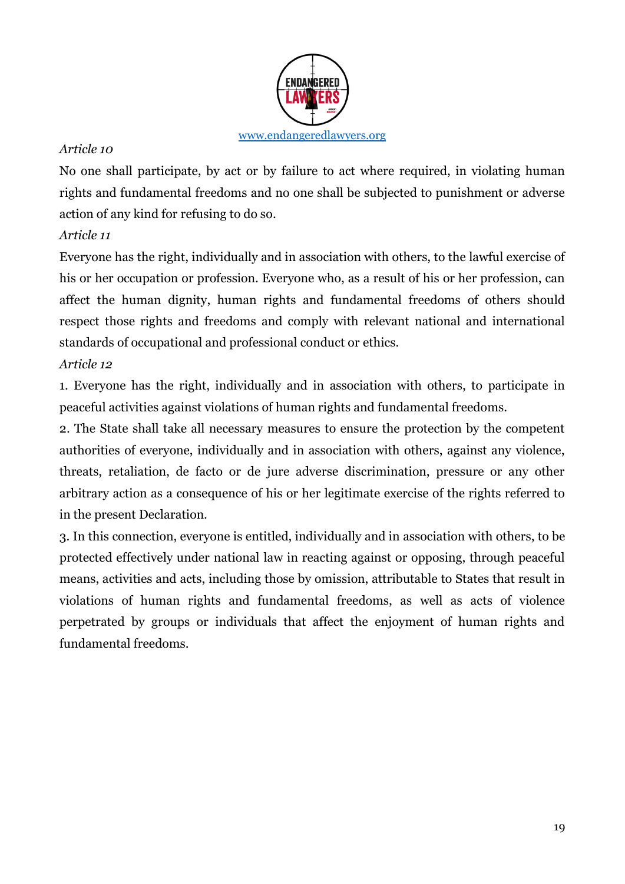

No one shall participate, by act or by failure to act where required, in violating human rights and fundamental freedoms and no one shall be subjected to punishment or adverse action of any kind for refusing to do so.

# *Article 11*

Everyone has the right, individually and in association with others, to the lawful exercise of his or her occupation or profession. Everyone who, as a result of his or her profession, can affect the human dignity, human rights and fundamental freedoms of others should respect those rights and freedoms and comply with relevant national and international standards of occupational and professional conduct or ethics.

# *Article 12*

1. Everyone has the right, individually and in association with others, to participate in peaceful activities against violations of human rights and fundamental freedoms.

2. The State shall take all necessary measures to ensure the protection by the competent authorities of everyone, individually and in association with others, against any violence, threats, retaliation, de facto or de jure adverse discrimination, pressure or any other arbitrary action as a consequence of his or her legitimate exercise of the rights referred to in the present Declaration.

3. In this connection, everyone is entitled, individually and in association with others, to be protected effectively under national law in reacting against or opposing, through peaceful means, activities and acts, including those by omission, attributable to States that result in violations of human rights and fundamental freedoms, as well as acts of violence perpetrated by groups or individuals that affect the enjoyment of human rights and fundamental freedoms.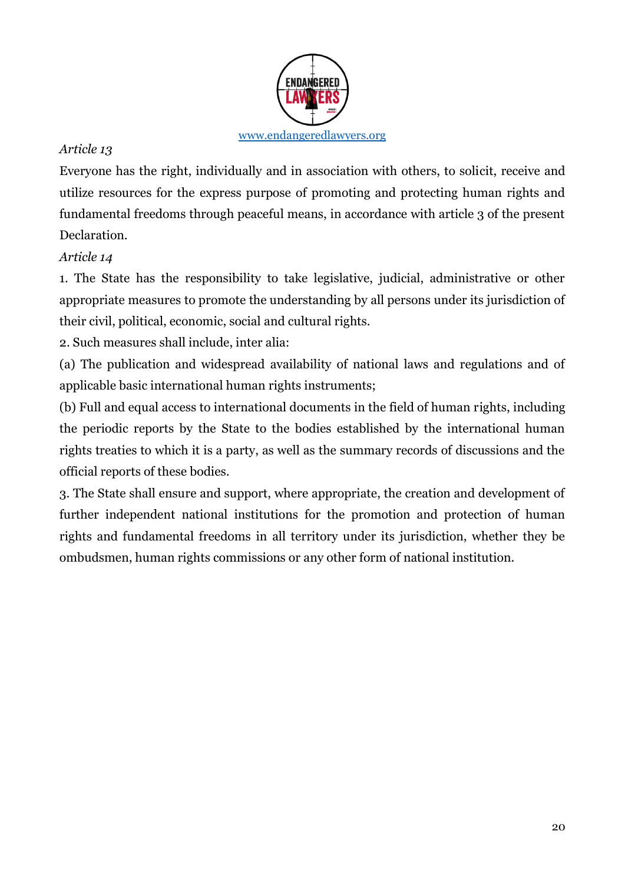

Everyone has the right, individually and in association with others, to solicit, receive and utilize resources for the express purpose of promoting and protecting human rights and fundamental freedoms through peaceful means, in accordance with article 3 of the present Declaration.

# *Article 14*

1. The State has the responsibility to take legislative, judicial, administrative or other appropriate measures to promote the understanding by all persons under its jurisdiction of their civil, political, economic, social and cultural rights.

2. Such measures shall include, inter alia:

(a) The publication and widespread availability of national laws and regulations and of applicable basic international human rights instruments;

(b) Full and equal access to international documents in the field of human rights, including the periodic reports by the State to the bodies established by the international human rights treaties to which it is a party, as well as the summary records of discussions and the official reports of these bodies.

3. The State shall ensure and support, where appropriate, the creation and development of further independent national institutions for the promotion and protection of human rights and fundamental freedoms in all territory under its jurisdiction, whether they be ombudsmen, human rights commissions or any other form of national institution.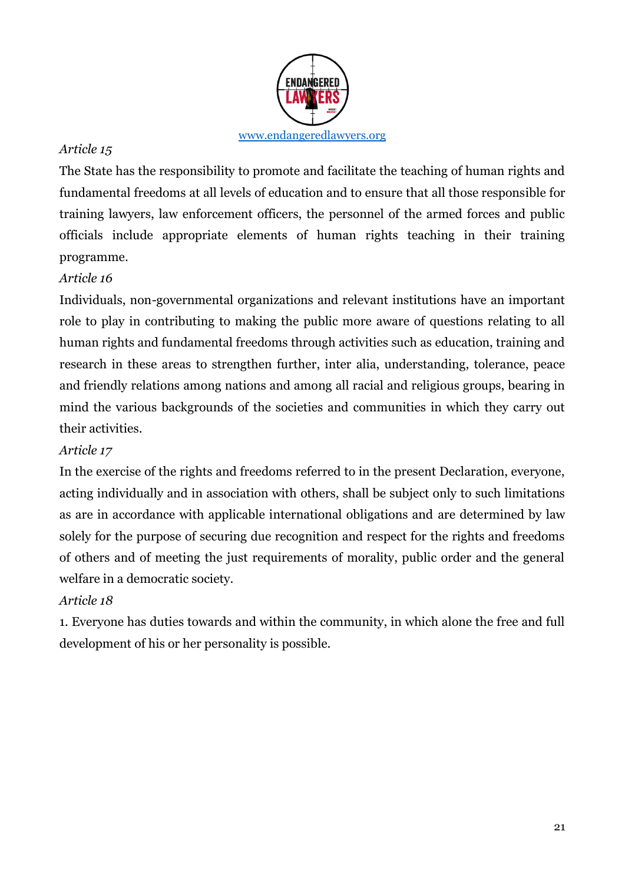

The State has the responsibility to promote and facilitate the teaching of human rights and fundamental freedoms at all levels of education and to ensure that all those responsible for training lawyers, law enforcement officers, the personnel of the armed forces and public officials include appropriate elements of human rights teaching in their training programme.

# *Article 16*

Individuals, non-governmental organizations and relevant institutions have an important role to play in contributing to making the public more aware of questions relating to all human rights and fundamental freedoms through activities such as education, training and research in these areas to strengthen further, inter alia, understanding, tolerance, peace and friendly relations among nations and among all racial and religious groups, bearing in mind the various backgrounds of the societies and communities in which they carry out their activities.

# *Article 17*

In the exercise of the rights and freedoms referred to in the present Declaration, everyone, acting individually and in association with others, shall be subject only to such limitations as are in accordance with applicable international obligations and are determined by law solely for the purpose of securing due recognition and respect for the rights and freedoms of others and of meeting the just requirements of morality, public order and the general welfare in a democratic society.

# *Article 18*

1. Everyone has duties towards and within the community, in which alone the free and full development of his or her personality is possible.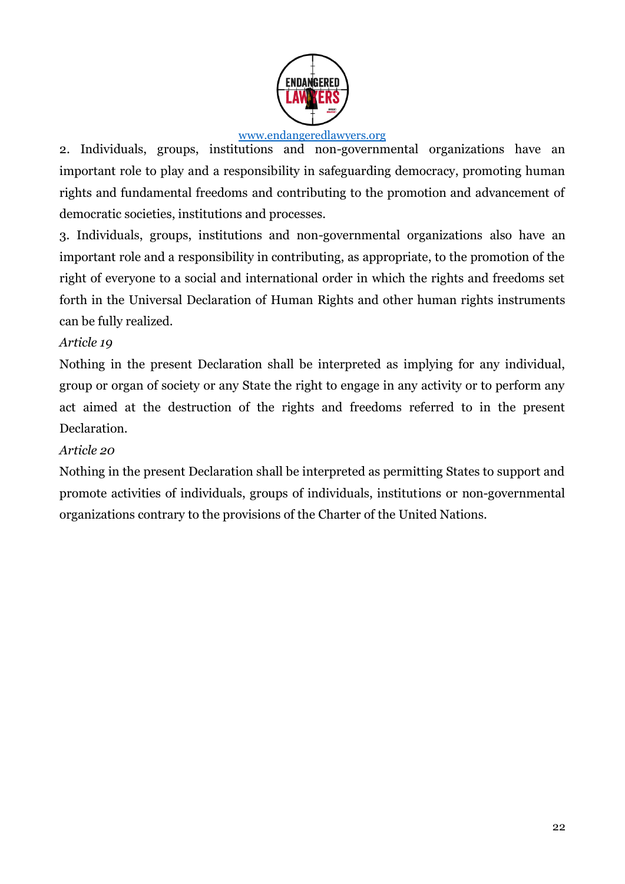

2. Individuals, groups, institutions and non-governmental organizations have an important role to play and a responsibility in safeguarding democracy, promoting human rights and fundamental freedoms and contributing to the promotion and advancement of democratic societies, institutions and processes.

3. Individuals, groups, institutions and non-governmental organizations also have an important role and a responsibility in contributing, as appropriate, to the promotion of the right of everyone to a social and international order in which the rights and freedoms set forth in the Universal Declaration of Human Rights and other human rights instruments can be fully realized.

### *Article 19*

Nothing in the present Declaration shall be interpreted as implying for any individual, group or organ of society or any State the right to engage in any activity or to perform any act aimed at the destruction of the rights and freedoms referred to in the present Declaration.

### *Article 20*

Nothing in the present Declaration shall be interpreted as permitting States to support and promote activities of individuals, groups of individuals, institutions or non-governmental organizations contrary to the provisions of the Charter of the United Nations.